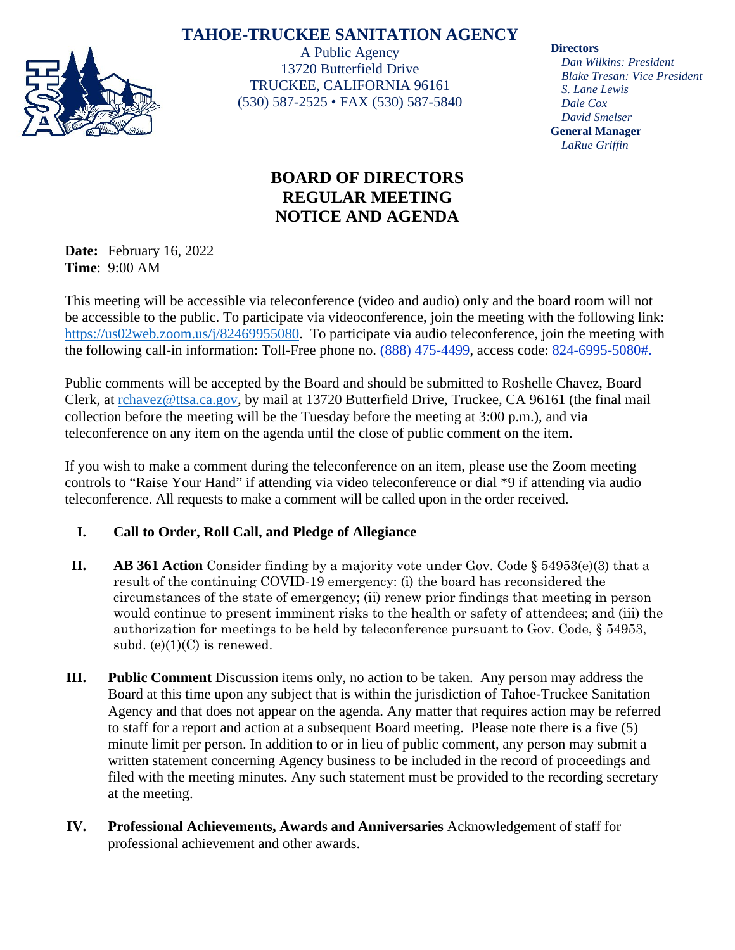# **TAHOE-TRUCKEE SANITATION AGENCY**



A Public Agency 13720 Butterfield Drive TRUCKEE, CALIFORNIA 96161 (530) 587-2525 • FAX (530) 587-5840

# **BOARD OF DIRECTORS REGULAR MEETING NOTICE AND AGENDA**

**Date:** February 16, 2022 **Time**: 9:00 AM

This meeting will be accessible via teleconference (video and audio) only and the board room will not be accessible to the public. To participate via videoconference, join the meeting with the following link: [https://us02web.zoom.us/j/82469955080.](https://us02web.zoom.us/j/82469955080) To participate via audio teleconference, join the meeting with the following call-in information: Toll-Free phone no. (888) 475-4499, access code: 824-6995-5080#.

Public comments will be accepted by the Board and should be submitted to Roshelle Chavez, Board Clerk, at [rchavez@ttsa.c](mailto:rchavez@ttsa.)a.gov, by mail at 13720 Butterfield Drive, Truckee, CA 96161 (the final mail collection before the meeting will be the Tuesday before the meeting at 3:00 p.m.), and via teleconference on any item on the agenda until the close of public comment on the item.

If you wish to make a comment during the teleconference on an item, please use the Zoom meeting controls to "Raise Your Hand" if attending via video teleconference or dial \*9 if attending via audio teleconference. All requests to make a comment will be called upon in the order received.

# **I. Call to Order, Roll Call, and Pledge of Allegiance**

- **II. AB 361 Action** Consider finding by a majority vote under Gov. Code § 54953(e)(3) that a result of the continuing COVID-19 emergency: (i) the board has reconsidered the circumstances of the state of emergency; (ii) renew prior findings that meeting in person would continue to present imminent risks to the health or safety of attendees; and (iii) the authorization for meetings to be held by teleconference pursuant to Gov. Code, § 54953, subd.  $(e)(1)(C)$  is renewed.
- **III. Public Comment** Discussion items only, no action to be taken. Any person may address the Board at this time upon any subject that is within the jurisdiction of Tahoe-Truckee Sanitation Agency and that does not appear on the agenda. Any matter that requires action may be referred to staff for a report and action at a subsequent Board meeting. Please note there is a five (5) minute limit per person. In addition to or in lieu of public comment, any person may submit a written statement concerning Agency business to be included in the record of proceedings and filed with the meeting minutes. Any such statement must be provided to the recording secretary at the meeting.
- **IV. Professional Achievements, Awards and Anniversaries** Acknowledgement of staff for professional achievement and other awards.

**Directors**

*Dan Wilkins: President Blake Tresan: Vice President S. Lane Lewis Dale Cox David Smelser* **General Manager** *LaRue Griffin*